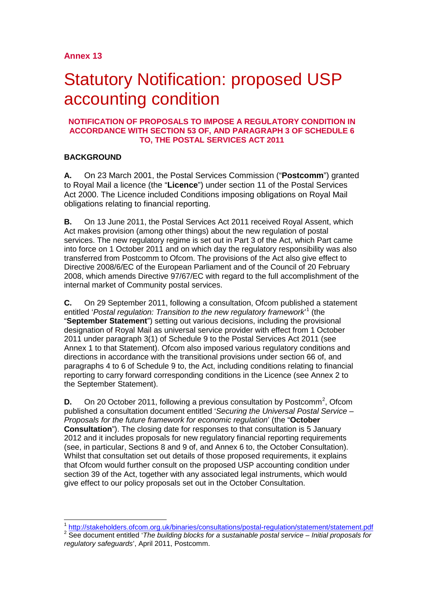# Statutory Notification: proposed USP accounting condition

### **NOTIFICATION OF PROPOSALS TO IMPOSE A REGULATORY CONDITION IN ACCORDANCE WITH SECTION 53 OF, AND PARAGRAPH 3 OF SCHEDULE 6 TO, THE POSTAL SERVICES ACT 2011**

# **BACKGROUND**

**A.** On 23 March 2001, the Postal Services Commission ("**Postcomm**") granted to Royal Mail a licence (the "**Licence**") under section 11 of the Postal Services Act 2000. The Licence included Conditions imposing obligations on Royal Mail obligations relating to financial reporting.

**B.** On 13 June 2011, the Postal Services Act 2011 received Royal Assent, which Act makes provision (among other things) about the new regulation of postal services. The new regulatory regime is set out in Part 3 of the Act, which Part came into force on 1 October 2011 and on which day the regulatory responsibility was also transferred from Postcomm to Ofcom. The provisions of the Act also give effect to Directive 2008/6/EC of the European Parliament and of the Council of 20 February 2008, which amends Directive 97/67/EC with regard to the full accomplishment of the internal market of Community postal services.

**C.** On 29 September 2011, following a consultation, Ofcom published a statement entitled '*Postal regulation: Transition to the new regulatory framework*' [1](#page-0-0) (the "**September Statement**") setting out various decisions, including the provisional designation of Royal Mail as universal service provider with effect from 1 October 2011 under paragraph 3(1) of Schedule 9 to the Postal Services Act 2011 (see Annex 1 to that Statement). Ofcom also imposed various regulatory conditions and directions in accordance with the transitional provisions under section 66 of, and paragraphs 4 to 6 of Schedule 9 to, the Act, including conditions relating to financial reporting to carry forward corresponding conditions in the Licence (see Annex 2 to the September Statement).

**D.** On [2](#page-0-1)0 October 2011, following a previous consultation by Postcomm<sup>2</sup>, Ofcom published a consultation document entitled '*Securing the Universal Postal Service – Proposals for the future framework for economic regulation*' (the "**October Consultation**"). The closing date for responses to that consultation is 5 January 2012 and it includes proposals for new regulatory financial reporting requirements (see, in particular, Sections 8 and 9 of, and Annex 6 to, the October Consultation). Whilst that consultation set out details of those proposed requirements, it explains that Ofcom would further consult on the proposed USP accounting condition under section 39 of the Act, together with any associated legal instruments, which would give effect to our policy proposals set out in the October Consultation.

<span id="page-0-0"></span> $\frac{1}{1}$ <http://stakeholders.ofcom.org.uk/binaries/consultations/postal-regulation/statement/statement.pdf> <sup>2</sup> See document entitled '*The building blocks for a sustainable postal service – Initial proposals for* 

<span id="page-0-1"></span>*regulatory safeguards*', April 2011, Postcomm.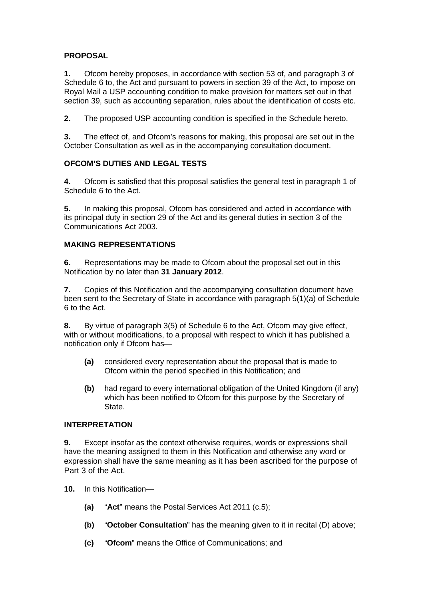# **PROPOSAL**

**1.** Ofcom hereby proposes, in accordance with section 53 of, and paragraph 3 of Schedule 6 to, the Act and pursuant to powers in section 39 of the Act, to impose on Royal Mail a USP accounting condition to make provision for matters set out in that section 39, such as accounting separation, rules about the identification of costs etc.

**2.** The proposed USP accounting condition is specified in the Schedule hereto.

**3.** The effect of, and Ofcom's reasons for making, this proposal are set out in the October Consultation as well as in the accompanying consultation document.

# **OFCOM'S DUTIES AND LEGAL TESTS**

**4.** Ofcom is satisfied that this proposal satisfies the general test in paragraph 1 of Schedule 6 to the Act.

**5.** In making this proposal, Ofcom has considered and acted in accordance with its principal duty in section 29 of the Act and its general duties in section 3 of the Communications Act 2003.

# **MAKING REPRESENTATIONS**

**6.** Representations may be made to Ofcom about the proposal set out in this Notification by no later than **31 January 2012**.

**7.** Copies of this Notification and the accompanying consultation document have been sent to the Secretary of State in accordance with paragraph 5(1)(a) of Schedule 6 to the Act.

**8.** By virtue of paragraph 3(5) of Schedule 6 to the Act, Ofcom may give effect, with or without modifications, to a proposal with respect to which it has published a notification only if Ofcom has—

- **(a)** considered every representation about the proposal that is made to Ofcom within the period specified in this Notification; and
- **(b)** had regard to every international obligation of the United Kingdom (if any) which has been notified to Ofcom for this purpose by the Secretary of State.

## **INTERPRETATION**

**9.** Except insofar as the context otherwise requires, words or expressions shall have the meaning assigned to them in this Notification and otherwise any word or expression shall have the same meaning as it has been ascribed for the purpose of Part 3 of the Act.

- **10.** In this Notification—
	- **(a)** "**Act**" means the Postal Services Act 2011 (c.5);
	- **(b)** "**October Consultation**" has the meaning given to it in recital (D) above;
	- **(c)** "**Ofcom**" means the Office of Communications; and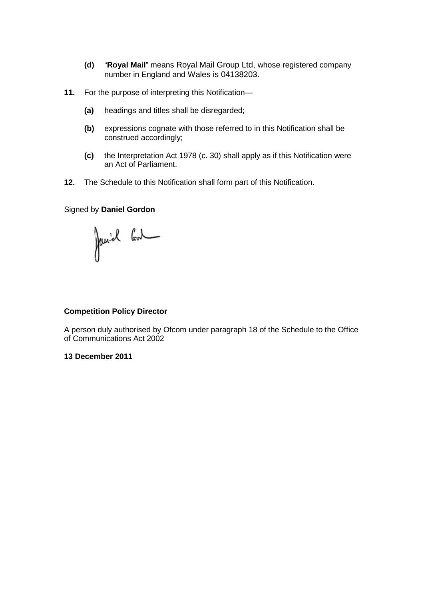- **(d)** "**Royal Mail**" means Royal Mail Group Ltd, whose registered company number in England and Wales is 04138203.
- **11.** For the purpose of interpreting this Notification—
	- **(a)** headings and titles shall be disregarded;
	- **(b)** expressions cognate with those referred to in this Notification shall be construed accordingly;
	- **(c)** the Interpretation Act 1978 (c. 30) shall apply as if this Notification were an Act of Parliament.
- **12.** The Schedule to this Notification shall form part of this Notification.

#### Signed by **Daniel Gordon**

Janiel Gol

#### **Competition Policy Director**

A person duly authorised by Ofcom under paragraph 18 of the Schedule to the Office of Communications Act 2002

### **13 December 2011**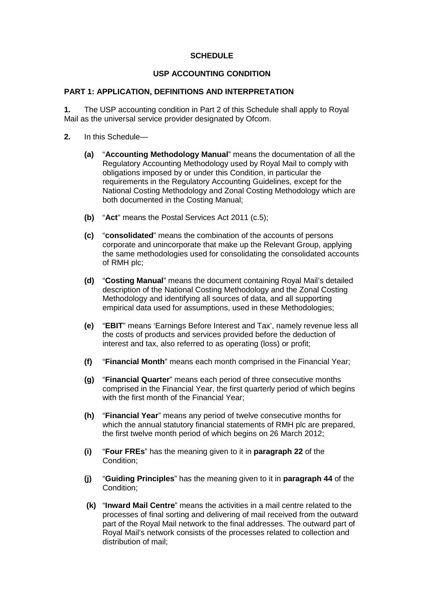# **SCHEDULE**

# **USP ACCOUNTING CONDITION**

## **PART 1: APPLICATION, DEFINITIONS AND INTERPRETATION**

**1.** The USP accounting condition in Part 2 of this Schedule shall apply to Royal Mail as the universal service provider designated by Ofcom.

- **2.** In this Schedule—
	- **(a)** "**Accounting Methodology Manual**" means the documentation of all the Regulatory Accounting Methodology used by Royal Mail to comply with obligations imposed by or under this Condition, in particular the requirements in the Regulatory Accounting Guidelines, except for the National Costing Methodology and Zonal Costing Methodology which are both documented in the Costing Manual;
	- **(b)** "**Act**" means the Postal Services Act 2011 (c.5);
	- **(c)** "**consolidated**" means the combination of the accounts of persons corporate and unincorporate that make up the Relevant Group, applying the same methodologies used for consolidating the consolidated accounts of RMH plc;
	- **(d)** "**Costing Manual**" means the document containing Royal Mail's detailed description of the National Costing Methodology and the Zonal Costing Methodology and identifying all sources of data, and all supporting empirical data used for assumptions, used in these Methodologies;
	- **(e)** "**EBIT**" means 'Earnings Before Interest and Tax', namely revenue less all the costs of products and services provided before the deduction of interest and tax, also referred to as operating (loss) or profit;
	- **(f)** "**Financial Month**" means each month comprised in the Financial Year;
	- **(g)** "**Financial Quarter**" means each period of three consecutive months comprised in the Financial Year, the first quarterly period of which begins with the first month of the Financial Year;
	- **(h)** "**Financial Year**" means any period of twelve consecutive months for which the annual statutory financial statements of RMH plc are prepared. the first twelve month period of which begins on 26 March 2012;
	- **(i)** "**Four FREs**" has the meaning given to it in **paragraph 22** of the Condition;
	- **(j)** "**Guiding Principles**" has the meaning given to it in **paragraph 44** of the Condition;
	- **(k)** "**Inward Mail Centre**" means the activities in a mail centre related to the processes of final sorting and delivering of mail received from the outward part of the Royal Mail network to the final addresses. The outward part of Royal Mail's network consists of the processes related to collection and distribution of mail;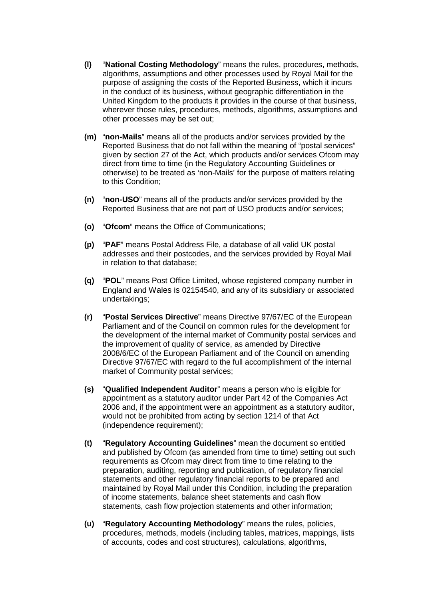- **(l)** "**National Costing Methodology**" means the rules, procedures, methods, algorithms, assumptions and other processes used by Royal Mail for the purpose of assigning the costs of the Reported Business, which it incurs in the conduct of its business, without geographic differentiation in the United Kingdom to the products it provides in the course of that business, wherever those rules, procedures, methods, algorithms, assumptions and other processes may be set out;
- **(m)** "**non-Mails**" means all of the products and/or services provided by the Reported Business that do not fall within the meaning of "postal services" given by section 27 of the Act, which products and/or services Ofcom may direct from time to time (in the Regulatory Accounting Guidelines or otherwise) to be treated as 'non-Mails' for the purpose of matters relating to this Condition;
- **(n)** "**non-USO**" means all of the products and/or services provided by the Reported Business that are not part of USO products and/or services;
- **(o)** "**Ofcom**" means the Office of Communications;
- **(p)** "**PAF**" means Postal Address File, a database of all valid UK postal addresses and their postcodes, and the services provided by Royal Mail in relation to that database;
- **(q)** "**POL**" means Post Office Limited, whose registered company number in England and Wales is 02154540, and any of its subsidiary or associated undertakings;
- **(r)** "**Postal Services Directive**" means Directive 97/67/EC of the European Parliament and of the Council on common rules for the development for the development of the internal market of Community postal services and the improvement of quality of service, as amended by Directive 2008/6/EC of the European Parliament and of the Council on amending Directive 97/67/EC with regard to the full accomplishment of the internal market of Community postal services;
- **(s)** "**Qualified Independent Auditor**" means a person who is eligible for appointment as a statutory auditor under Part 42 of the Companies Act 2006 and, if the appointment were an appointment as a statutory auditor, would not be prohibited from acting by section 1214 of that Act (independence requirement);
- **(t)** "**Regulatory Accounting Guidelines**" mean the document so entitled and published by Ofcom (as amended from time to time) setting out such requirements as Ofcom may direct from time to time relating to the preparation, auditing, reporting and publication, of regulatory financial statements and other regulatory financial reports to be prepared and maintained by Royal Mail under this Condition, including the preparation of income statements, balance sheet statements and cash flow statements, cash flow projection statements and other information;
- **(u)** "**Regulatory Accounting Methodology**" means the rules, policies, procedures, methods, models (including tables, matrices, mappings, lists of accounts, codes and cost structures), calculations, algorithms,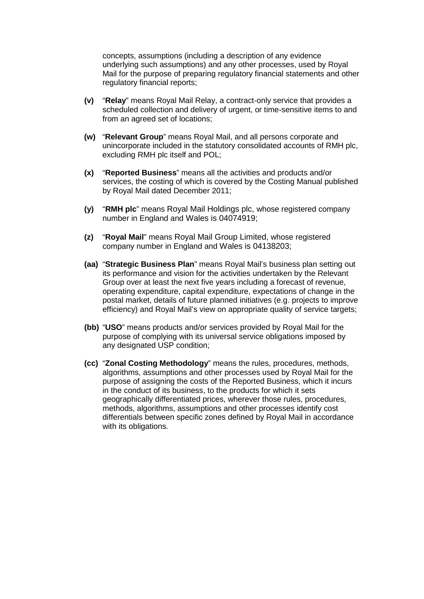concepts, assumptions (including a description of any evidence underlying such assumptions) and any other processes, used by Royal Mail for the purpose of preparing regulatory financial statements and other regulatory financial reports;

- **(v)** "**Relay**" means Royal Mail Relay, a contract-only service that provides a scheduled collection and delivery of urgent, or time-sensitive items to and from an agreed set of locations;
- **(w)** "**Relevant Group**" means Royal Mail, and all persons corporate and unincorporate included in the statutory consolidated accounts of RMH plc, excluding RMH plc itself and POL;
- **(x)** "**Reported Business**" means all the activities and products and/or services, the costing of which is covered by the Costing Manual published by Royal Mail dated December 2011;
- **(y)** "**RMH plc**" means Royal Mail Holdings plc, whose registered company number in England and Wales is 04074919;
- **(z)** "**Royal Mail**" means Royal Mail Group Limited, whose registered company number in England and Wales is 04138203;
- **(aa)** "**Strategic Business Plan**" means Royal Mail's business plan setting out its performance and vision for the activities undertaken by the Relevant Group over at least the next five years including a forecast of revenue, operating expenditure, capital expenditure, expectations of change in the postal market, details of future planned initiatives (e.g. projects to improve efficiency) and Royal Mail's view on appropriate quality of service targets;
- **(bb)** "**USO**" means products and/or services provided by Royal Mail for the purpose of complying with its universal service obligations imposed by any designated USP condition;
- **(cc)** "**Zonal Costing Methodology**" means the rules, procedures, methods, algorithms, assumptions and other processes used by Royal Mail for the purpose of assigning the costs of the Reported Business, which it incurs in the conduct of its business, to the products for which it sets geographically differentiated prices, wherever those rules, procedures, methods, algorithms, assumptions and other processes identify cost differentials between specific zones defined by Royal Mail in accordance with its obligations.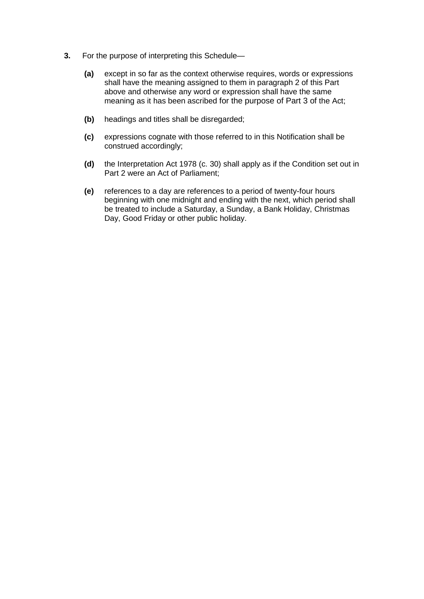- **3.** For the purpose of interpreting this Schedule—
	- **(a)** except in so far as the context otherwise requires, words or expressions shall have the meaning assigned to them in paragraph 2 of this Part above and otherwise any word or expression shall have the same meaning as it has been ascribed for the purpose of Part 3 of the Act;
	- **(b)** headings and titles shall be disregarded;
	- **(c)** expressions cognate with those referred to in this Notification shall be construed accordingly;
	- **(d)** the Interpretation Act 1978 (c. 30) shall apply as if the Condition set out in Part 2 were an Act of Parliament;
	- **(e)** references to a day are references to a period of twenty-four hours beginning with one midnight and ending with the next, which period shall be treated to include a Saturday, a Sunday, a Bank Holiday, Christmas Day, Good Friday or other public holiday.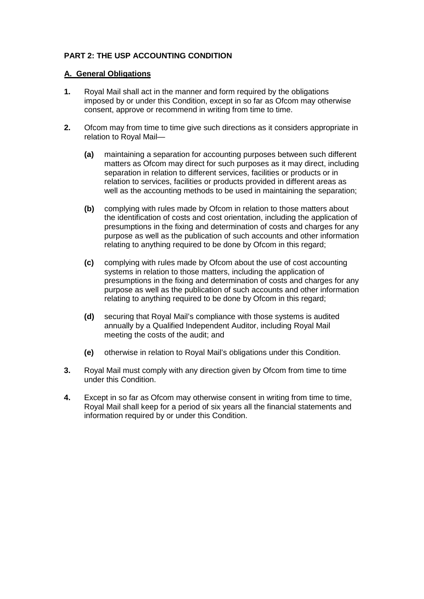# **PART 2: THE USP ACCOUNTING CONDITION**

## **A. General Obligations**

- **1.** Royal Mail shall act in the manner and form required by the obligations imposed by or under this Condition, except in so far as Ofcom may otherwise consent, approve or recommend in writing from time to time.
- **2.** Ofcom may from time to time give such directions as it considers appropriate in relation to Royal Mail—
	- **(a)** maintaining a separation for accounting purposes between such different matters as Ofcom may direct for such purposes as it may direct, including separation in relation to different services, facilities or products or in relation to services, facilities or products provided in different areas as well as the accounting methods to be used in maintaining the separation;
	- **(b)** complying with rules made by Ofcom in relation to those matters about the identification of costs and cost orientation, including the application of presumptions in the fixing and determination of costs and charges for any purpose as well as the publication of such accounts and other information relating to anything required to be done by Ofcom in this regard;
	- **(c)** complying with rules made by Ofcom about the use of cost accounting systems in relation to those matters, including the application of presumptions in the fixing and determination of costs and charges for any purpose as well as the publication of such accounts and other information relating to anything required to be done by Ofcom in this regard;
	- **(d)** securing that Royal Mail's compliance with those systems is audited annually by a Qualified Independent Auditor, including Royal Mail meeting the costs of the audit; and
	- **(e)** otherwise in relation to Royal Mail's obligations under this Condition.
- **3.** Royal Mail must comply with any direction given by Ofcom from time to time under this Condition.
- **4.** Except in so far as Ofcom may otherwise consent in writing from time to time, Royal Mail shall keep for a period of six years all the financial statements and information required by or under this Condition.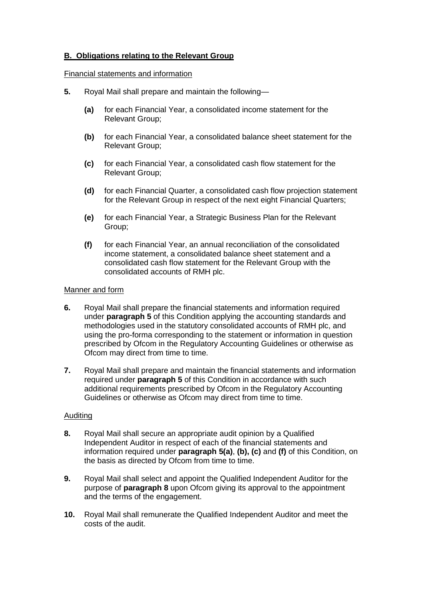# **B. Obligations relating to the Relevant Group**

#### Financial statements and information

- **5.** Royal Mail shall prepare and maintain the following—
	- **(a)** for each Financial Year, a consolidated income statement for the Relevant Group;
	- **(b)** for each Financial Year, a consolidated balance sheet statement for the Relevant Group;
	- **(c)** for each Financial Year, a consolidated cash flow statement for the Relevant Group;
	- **(d)** for each Financial Quarter, a consolidated cash flow projection statement for the Relevant Group in respect of the next eight Financial Quarters;
	- **(e)** for each Financial Year, a Strategic Business Plan for the Relevant Group;
	- **(f)** for each Financial Year, an annual reconciliation of the consolidated income statement, a consolidated balance sheet statement and a consolidated cash flow statement for the Relevant Group with the consolidated accounts of RMH plc.

#### Manner and form

- **6.** Royal Mail shall prepare the financial statements and information required under **paragraph 5** of this Condition applying the accounting standards and methodologies used in the statutory consolidated accounts of RMH plc, and using the pro-forma corresponding to the statement or information in question prescribed by Ofcom in the Regulatory Accounting Guidelines or otherwise as Ofcom may direct from time to time.
- **7.** Royal Mail shall prepare and maintain the financial statements and information required under **paragraph 5** of this Condition in accordance with such additional requirements prescribed by Ofcom in the Regulatory Accounting Guidelines or otherwise as Ofcom may direct from time to time.

#### Auditing

- **8.** Royal Mail shall secure an appropriate audit opinion by a Qualified Independent Auditor in respect of each of the financial statements and information required under **paragraph 5(a)**, **(b), (c)** and **(f)** of this Condition, on the basis as directed by Ofcom from time to time.
- **9.** Royal Mail shall select and appoint the Qualified Independent Auditor for the purpose of **paragraph 8** upon Ofcom giving its approval to the appointment and the terms of the engagement.
- **10.** Royal Mail shall remunerate the Qualified Independent Auditor and meet the costs of the audit.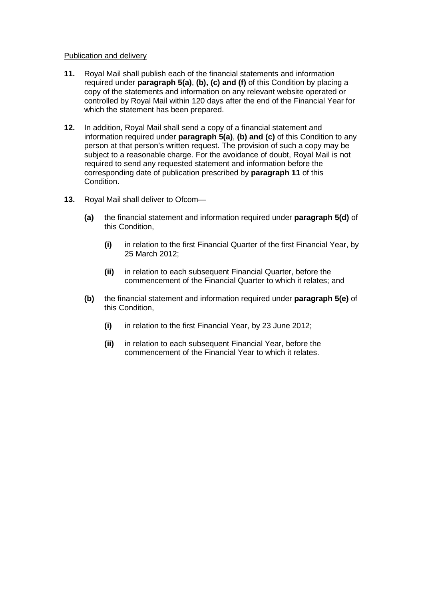#### Publication and delivery

- **11.** Royal Mail shall publish each of the financial statements and information required under **paragraph 5(a)**, **(b), (c) and (f)** of this Condition by placing a copy of the statements and information on any relevant website operated or controlled by Royal Mail within 120 days after the end of the Financial Year for which the statement has been prepared.
- **12.** In addition, Royal Mail shall send a copy of a financial statement and information required under **paragraph 5(a)**, **(b) and (c)** of this Condition to any person at that person's written request. The provision of such a copy may be subject to a reasonable charge. For the avoidance of doubt, Royal Mail is not required to send any requested statement and information before the corresponding date of publication prescribed by **paragraph 11** of this Condition.
- **13.** Royal Mail shall deliver to Ofcom—
	- **(a)** the financial statement and information required under **paragraph 5(d)** of this Condition,
		- **(i)** in relation to the first Financial Quarter of the first Financial Year, by 25 March 2012;
		- **(ii)** in relation to each subsequent Financial Quarter, before the commencement of the Financial Quarter to which it relates; and
	- **(b)** the financial statement and information required under **paragraph 5(e)** of this Condition,
		- **(i)** in relation to the first Financial Year, by 23 June 2012;
		- **(ii)** in relation to each subsequent Financial Year, before the commencement of the Financial Year to which it relates.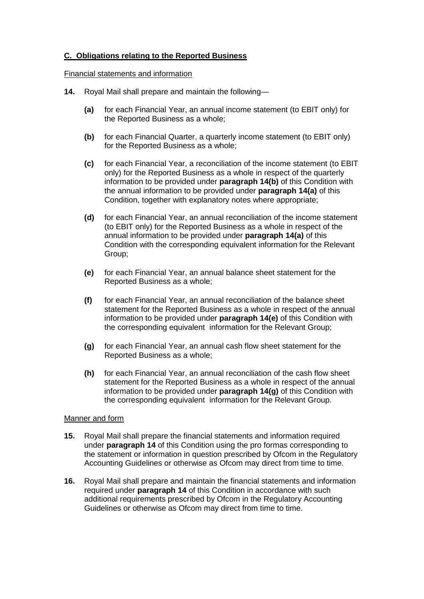# **C. Obligations relating to the Reported Business**

#### Financial statements and information

- **14.** Royal Mail shall prepare and maintain the following—
	- **(a)** for each Financial Year, an annual income statement (to EBIT only) for the Reported Business as a whole;
	- **(b)** for each Financial Quarter, a quarterly income statement (to EBIT only) for the Reported Business as a whole;
	- **(c)** for each Financial Year, a reconciliation of the income statement (to EBIT only) for the Reported Business as a whole in respect of the quarterly information to be provided under **paragraph 14(b)** of this Condition with the annual information to be provided under **paragraph 14(a)** of this Condition, together with explanatory notes where appropriate;
	- **(d)** for each Financial Year, an annual reconciliation of the income statement (to EBIT only) for the Reported Business as a whole in respect of the annual information to be provided under **paragraph 14(a)** of this Condition with the corresponding equivalent information for the Relevant Group;
	- **(e)** for each Financial Year, an annual balance sheet statement for the Reported Business as a whole;
	- **(f)** for each Financial Year, an annual reconciliation of the balance sheet statement for the Reported Business as a whole in respect of the annual information to be provided under **paragraph 14(e)** of this Condition with the corresponding equivalent information for the Relevant Group;
	- **(g)** for each Financial Year, an annual cash flow sheet statement for the Reported Business as a whole;
	- **(h)** for each Financial Year, an annual reconciliation of the cash flow sheet statement for the Reported Business as a whole in respect of the annual information to be provided under **paragraph 14(g)** of this Condition with the corresponding equivalent information for the Relevant Group.

#### Manner and form

- **15.** Royal Mail shall prepare the financial statements and information required under **paragraph 14** of this Condition using the pro formas corresponding to the statement or information in question prescribed by Ofcom in the Regulatory Accounting Guidelines or otherwise as Ofcom may direct from time to time.
- **16.** Royal Mail shall prepare and maintain the financial statements and information required under **paragraph 14** of this Condition in accordance with such additional requirements prescribed by Ofcom in the Regulatory Accounting Guidelines or otherwise as Ofcom may direct from time to time.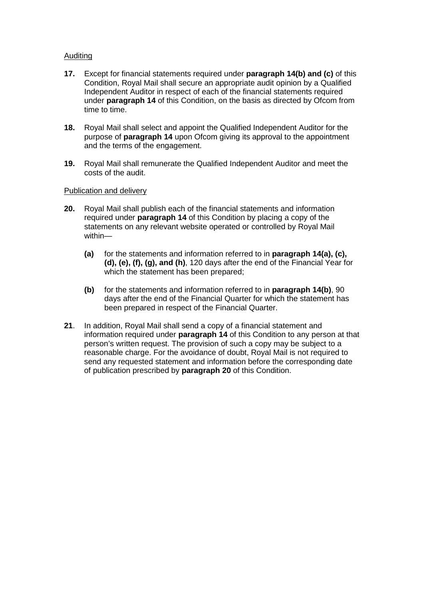## Auditing

- **17.** Except for financial statements required under **paragraph 14(b) and (c)** of this Condition, Royal Mail shall secure an appropriate audit opinion by a Qualified Independent Auditor in respect of each of the financial statements required under **paragraph 14** of this Condition, on the basis as directed by Ofcom from time to time.
- **18.** Royal Mail shall select and appoint the Qualified Independent Auditor for the purpose of **paragraph 14** upon Ofcom giving its approval to the appointment and the terms of the engagement.
- **19.** Royal Mail shall remunerate the Qualified Independent Auditor and meet the costs of the audit.

## Publication and delivery

- **20.** Royal Mail shall publish each of the financial statements and information required under **paragraph 14** of this Condition by placing a copy of the statements on any relevant website operated or controlled by Royal Mail within—
	- **(a)** for the statements and information referred to in **paragraph 14(a), (c), (d), (e), (f), (g), and (h)**, 120 days after the end of the Financial Year for which the statement has been prepared;
	- **(b)** for the statements and information referred to in **paragraph 14(b)**, 90 days after the end of the Financial Quarter for which the statement has been prepared in respect of the Financial Quarter.
- **21**. In addition, Royal Mail shall send a copy of a financial statement and information required under **paragraph 14** of this Condition to any person at that person's written request. The provision of such a copy may be subject to a reasonable charge. For the avoidance of doubt, Royal Mail is not required to send any requested statement and information before the corresponding date of publication prescribed by **paragraph 20** of this Condition.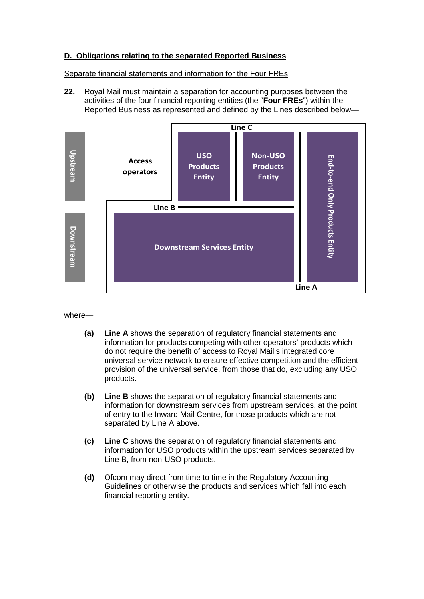## **D. Obligations relating to the separated Reported Business**

Separate financial statements and information for the Four FREs

**22.** Royal Mail must maintain a separation for accounting purposes between the activities of the four financial reporting entities (the "**Four FREs**") within the Reported Business as represented and defined by the Lines described below—



where—

- **(a) Line A** shows the separation of regulatory financial statements and information for products competing with other operators' products which do not require the benefit of access to Royal Mail's integrated core universal service network to ensure effective competition and the efficient provision of the universal service, from those that do, excluding any USO products.
- **(b) Line B** shows the separation of regulatory financial statements and information for downstream services from upstream services, at the point of entry to the Inward Mail Centre, for those products which are not separated by Line A above.
- **(c) Line C** shows the separation of regulatory financial statements and information for USO products within the upstream services separated by Line B, from non-USO products.
- **(d)** Ofcom may direct from time to time in the Regulatory Accounting Guidelines or otherwise the products and services which fall into each financial reporting entity.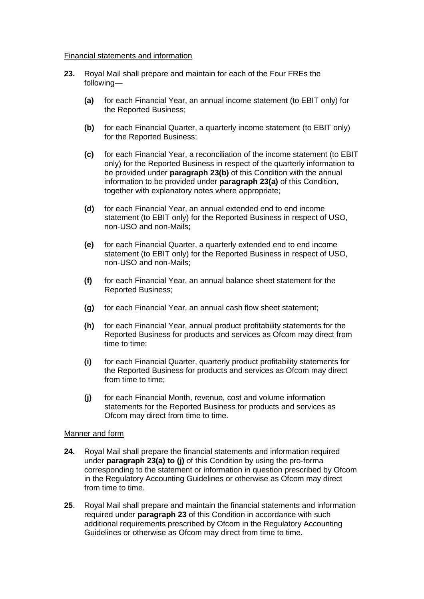#### Financial statements and information

- **23.** Royal Mail shall prepare and maintain for each of the Four FREs the following—
	- **(a)** for each Financial Year, an annual income statement (to EBIT only) for the Reported Business;
	- **(b)** for each Financial Quarter, a quarterly income statement (to EBIT only) for the Reported Business;
	- **(c)** for each Financial Year, a reconciliation of the income statement (to EBIT only) for the Reported Business in respect of the quarterly information to be provided under **paragraph 23(b)** of this Condition with the annual information to be provided under **paragraph 23(a)** of this Condition, together with explanatory notes where appropriate;
	- **(d)** for each Financial Year, an annual extended end to end income statement (to EBIT only) for the Reported Business in respect of USO, non-USO and non-Mails;
	- **(e)** for each Financial Quarter, a quarterly extended end to end income statement (to EBIT only) for the Reported Business in respect of USO, non-USO and non-Mails;
	- **(f)** for each Financial Year, an annual balance sheet statement for the Reported Business;
	- **(g)** for each Financial Year, an annual cash flow sheet statement;
	- **(h)** for each Financial Year, annual product profitability statements for the Reported Business for products and services as Ofcom may direct from time to time;
	- **(i)** for each Financial Quarter, quarterly product profitability statements for the Reported Business for products and services as Ofcom may direct from time to time;
	- **(j)** for each Financial Month, revenue, cost and volume information statements for the Reported Business for products and services as Ofcom may direct from time to time.

#### Manner and form

- **24.** Royal Mail shall prepare the financial statements and information required under **paragraph 23(a) to (j)** of this Condition by using the pro-forma corresponding to the statement or information in question prescribed by Ofcom in the Regulatory Accounting Guidelines or otherwise as Ofcom may direct from time to time.
- **25**. Royal Mail shall prepare and maintain the financial statements and information required under **paragraph 23** of this Condition in accordance with such additional requirements prescribed by Ofcom in the Regulatory Accounting Guidelines or otherwise as Ofcom may direct from time to time.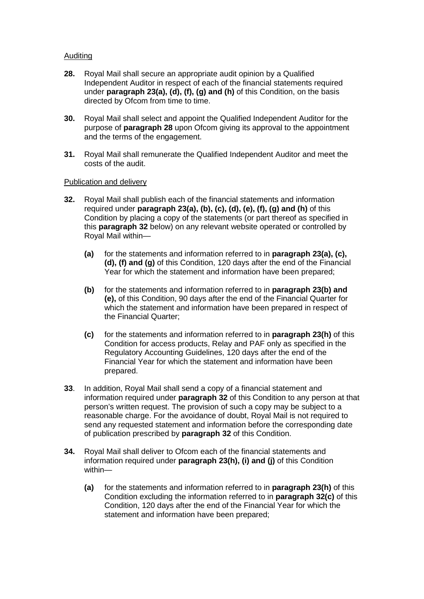## Auditing

- **28.** Royal Mail shall secure an appropriate audit opinion by a Qualified Independent Auditor in respect of each of the financial statements required under **paragraph 23(a), (d), (f), (g) and (h)** of this Condition, on the basis directed by Ofcom from time to time.
- **30.** Royal Mail shall select and appoint the Qualified Independent Auditor for the purpose of **paragraph 28** upon Ofcom giving its approval to the appointment and the terms of the engagement.
- **31.** Royal Mail shall remunerate the Qualified Independent Auditor and meet the costs of the audit.

#### Publication and delivery

- **32.** Royal Mail shall publish each of the financial statements and information required under **paragraph 23(a), (b), (c), (d), (e), (f), (g) and (h)** of this Condition by placing a copy of the statements (or part thereof as specified in this **paragraph 32** below) on any relevant website operated or controlled by Royal Mail within—
	- **(a)** for the statements and information referred to in **paragraph 23(a), (c), (d), (f) and (g)** of this Condition, 120 days after the end of the Financial Year for which the statement and information have been prepared;
	- **(b)** for the statements and information referred to in **paragraph 23(b) and (e),** of this Condition, 90 days after the end of the Financial Quarter for which the statement and information have been prepared in respect of the Financial Quarter;
	- **(c)** for the statements and information referred to in **paragraph 23(h)** of this Condition for access products, Relay and PAF only as specified in the Regulatory Accounting Guidelines, 120 days after the end of the Financial Year for which the statement and information have been prepared.
- **33**. In addition, Royal Mail shall send a copy of a financial statement and information required under **paragraph 32** of this Condition to any person at that person's written request. The provision of such a copy may be subject to a reasonable charge. For the avoidance of doubt, Royal Mail is not required to send any requested statement and information before the corresponding date of publication prescribed by **paragraph 32** of this Condition.
- **34.** Royal Mail shall deliver to Ofcom each of the financial statements and information required under **paragraph 23(h), (i) and (j)** of this Condition within—
	- **(a)** for the statements and information referred to in **paragraph 23(h)** of this Condition excluding the information referred to in **paragraph 32(c)** of this Condition, 120 days after the end of the Financial Year for which the statement and information have been prepared;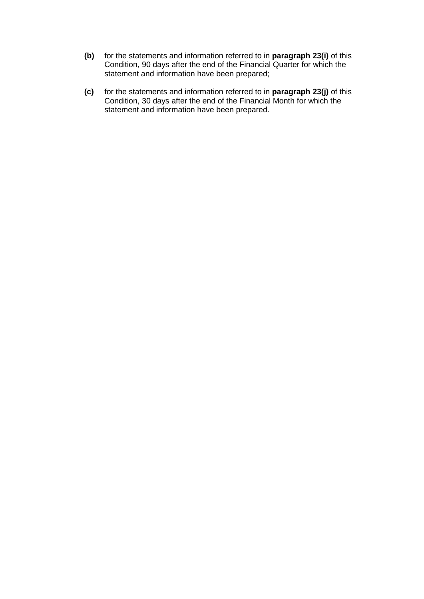- **(b)** for the statements and information referred to in **paragraph 23(i)** of this Condition, 90 days after the end of the Financial Quarter for which the statement and information have been prepared;
- **(c)** for the statements and information referred to in **paragraph 23(j)** of this Condition, 30 days after the end of the Financial Month for which the statement and information have been prepared.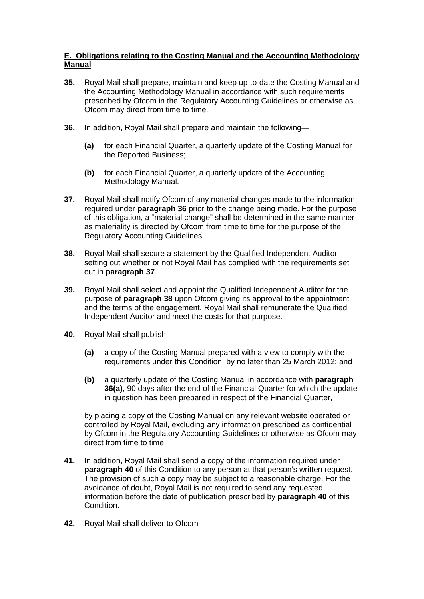# **E. Obligations relating to the Costing Manual and the Accounting Methodology Manual**

- **35.** Royal Mail shall prepare, maintain and keep up-to-date the Costing Manual and the Accounting Methodology Manual in accordance with such requirements prescribed by Ofcom in the Regulatory Accounting Guidelines or otherwise as Ofcom may direct from time to time.
- **36.** In addition, Royal Mail shall prepare and maintain the following—
	- **(a)** for each Financial Quarter, a quarterly update of the Costing Manual for the Reported Business;
	- **(b)** for each Financial Quarter, a quarterly update of the Accounting Methodology Manual.
- **37.** Royal Mail shall notify Ofcom of any material changes made to the information required under **paragraph 36** prior to the change being made. For the purpose of this obligation, a "material change" shall be determined in the same manner as materiality is directed by Ofcom from time to time for the purpose of the Regulatory Accounting Guidelines.
- **38.** Royal Mail shall secure a statement by the Qualified Independent Auditor setting out whether or not Royal Mail has complied with the requirements set out in **paragraph 37**.
- **39.** Royal Mail shall select and appoint the Qualified Independent Auditor for the purpose of **paragraph 38** upon Ofcom giving its approval to the appointment and the terms of the engagement. Royal Mail shall remunerate the Qualified Independent Auditor and meet the costs for that purpose.
- **40.** Royal Mail shall publish—
	- **(a)** a copy of the Costing Manual prepared with a view to comply with the requirements under this Condition, by no later than 25 March 2012; and
	- **(b)** a quarterly update of the Costing Manual in accordance with **paragraph 36(a)**, 90 days after the end of the Financial Quarter for which the update in question has been prepared in respect of the Financial Quarter,

by placing a copy of the Costing Manual on any relevant website operated or controlled by Royal Mail, excluding any information prescribed as confidential by Ofcom in the Regulatory Accounting Guidelines or otherwise as Ofcom may direct from time to time.

- **41.** In addition, Royal Mail shall send a copy of the information required under **paragraph 40** of this Condition to any person at that person's written request. The provision of such a copy may be subject to a reasonable charge. For the avoidance of doubt, Royal Mail is not required to send any requested information before the date of publication prescribed by **paragraph 40** of this Condition.
- **42.** Royal Mail shall deliver to Ofcom—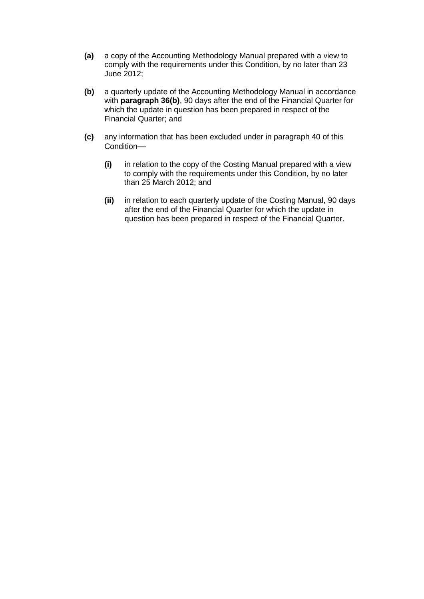- **(a)** a copy of the Accounting Methodology Manual prepared with a view to comply with the requirements under this Condition, by no later than 23 June 2012;
- **(b)** a quarterly update of the Accounting Methodology Manual in accordance with **paragraph 36(b)**, 90 days after the end of the Financial Quarter for which the update in question has been prepared in respect of the Financial Quarter; and
- **(c)** any information that has been excluded under in paragraph 40 of this Condition—
	- **(i)** in relation to the copy of the Costing Manual prepared with a view to comply with the requirements under this Condition, by no later than 25 March 2012; and
	- **(ii)** in relation to each quarterly update of the Costing Manual, 90 days after the end of the Financial Quarter for which the update in question has been prepared in respect of the Financial Quarter.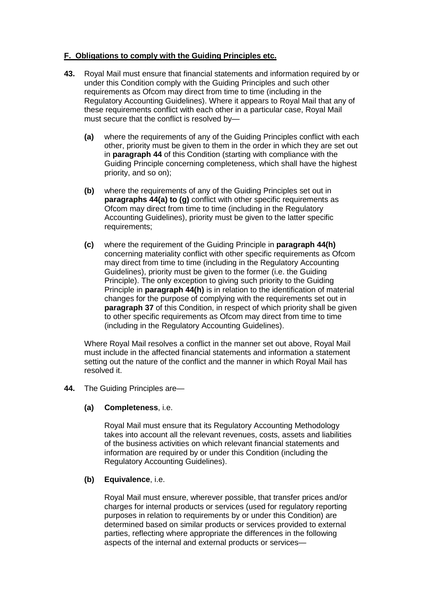# **F. Obligations to comply with the Guiding Principles etc.**

- **43.** Royal Mail must ensure that financial statements and information required by or under this Condition comply with the Guiding Principles and such other requirements as Ofcom may direct from time to time (including in the Regulatory Accounting Guidelines). Where it appears to Royal Mail that any of these requirements conflict with each other in a particular case, Royal Mail must secure that the conflict is resolved by—
	- **(a)** where the requirements of any of the Guiding Principles conflict with each other, priority must be given to them in the order in which they are set out in **paragraph 44** of this Condition (starting with compliance with the Guiding Principle concerning completeness, which shall have the highest priority, and so on);
	- **(b)** where the requirements of any of the Guiding Principles set out in **paragraphs 44(a) to (g)** conflict with other specific requirements as Ofcom may direct from time to time (including in the Regulatory Accounting Guidelines), priority must be given to the latter specific requirements;
	- **(c)** where the requirement of the Guiding Principle in **paragraph 44(h)** concerning materiality conflict with other specific requirements as Ofcom may direct from time to time (including in the Regulatory Accounting Guidelines), priority must be given to the former (i.e. the Guiding Principle). The only exception to giving such priority to the Guiding Principle in **paragraph 44(h)** is in relation to the identification of material changes for the purpose of complying with the requirements set out in **paragraph 37** of this Condition, in respect of which priority shall be given to other specific requirements as Ofcom may direct from time to time (including in the Regulatory Accounting Guidelines).

Where Royal Mail resolves a conflict in the manner set out above, Royal Mail must include in the affected financial statements and information a statement setting out the nature of the conflict and the manner in which Royal Mail has resolved it.

**44.** The Guiding Principles are—

## **(a) Completeness**, i.e.

Royal Mail must ensure that its Regulatory Accounting Methodology takes into account all the relevant revenues, costs, assets and liabilities of the business activities on which relevant financial statements and information are required by or under this Condition (including the Regulatory Accounting Guidelines).

## **(b) Equivalence**, i.e.

Royal Mail must ensure, wherever possible, that transfer prices and/or charges for internal products or services (used for regulatory reporting purposes in relation to requirements by or under this Condition) are determined based on similar products or services provided to external parties, reflecting where appropriate the differences in the following aspects of the internal and external products or services—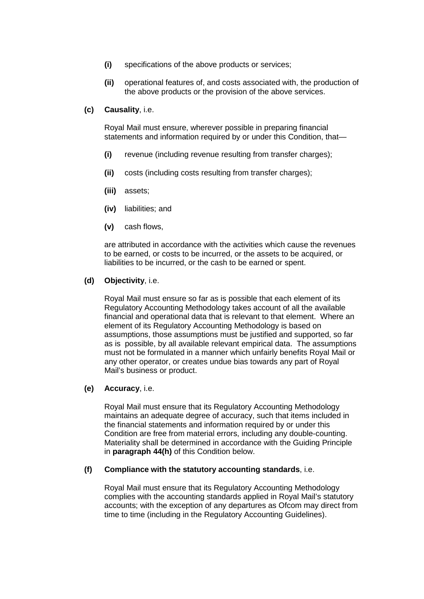- **(i)** specifications of the above products or services;
- **(ii)** operational features of, and costs associated with, the production of the above products or the provision of the above services.
- **(c) Causality**, i.e.

Royal Mail must ensure, wherever possible in preparing financial statements and information required by or under this Condition, that—

- **(i)** revenue (including revenue resulting from transfer charges);
- **(ii)** costs (including costs resulting from transfer charges);
- **(iii)** assets;
- **(iv)** liabilities; and
- **(v)** cash flows,

are attributed in accordance with the activities which cause the revenues to be earned, or costs to be incurred, or the assets to be acquired, or liabilities to be incurred, or the cash to be earned or spent.

#### **(d) Objectivity**, i.e.

Royal Mail must ensure so far as is possible that each element of its Regulatory Accounting Methodology takes account of all the available financial and operational data that is relevant to that element. Where an element of its Regulatory Accounting Methodology is based on assumptions, those assumptions must be justified and supported, so far as is possible, by all available relevant empirical data. The assumptions must not be formulated in a manner which unfairly benefits Royal Mail or any other operator, or creates undue bias towards any part of Royal Mail's business or product.

#### **(e) Accuracy**, i.e.

Royal Mail must ensure that its Regulatory Accounting Methodology maintains an adequate degree of accuracy, such that items included in the financial statements and information required by or under this Condition are free from material errors, including any double-counting. Materiality shall be determined in accordance with the Guiding Principle in **paragraph 44(h)** of this Condition below.

#### **(f) Compliance with the statutory accounting standards**, i.e.

Royal Mail must ensure that its Regulatory Accounting Methodology complies with the accounting standards applied in Royal Mail's statutory accounts; with the exception of any departures as Ofcom may direct from time to time (including in the Regulatory Accounting Guidelines).